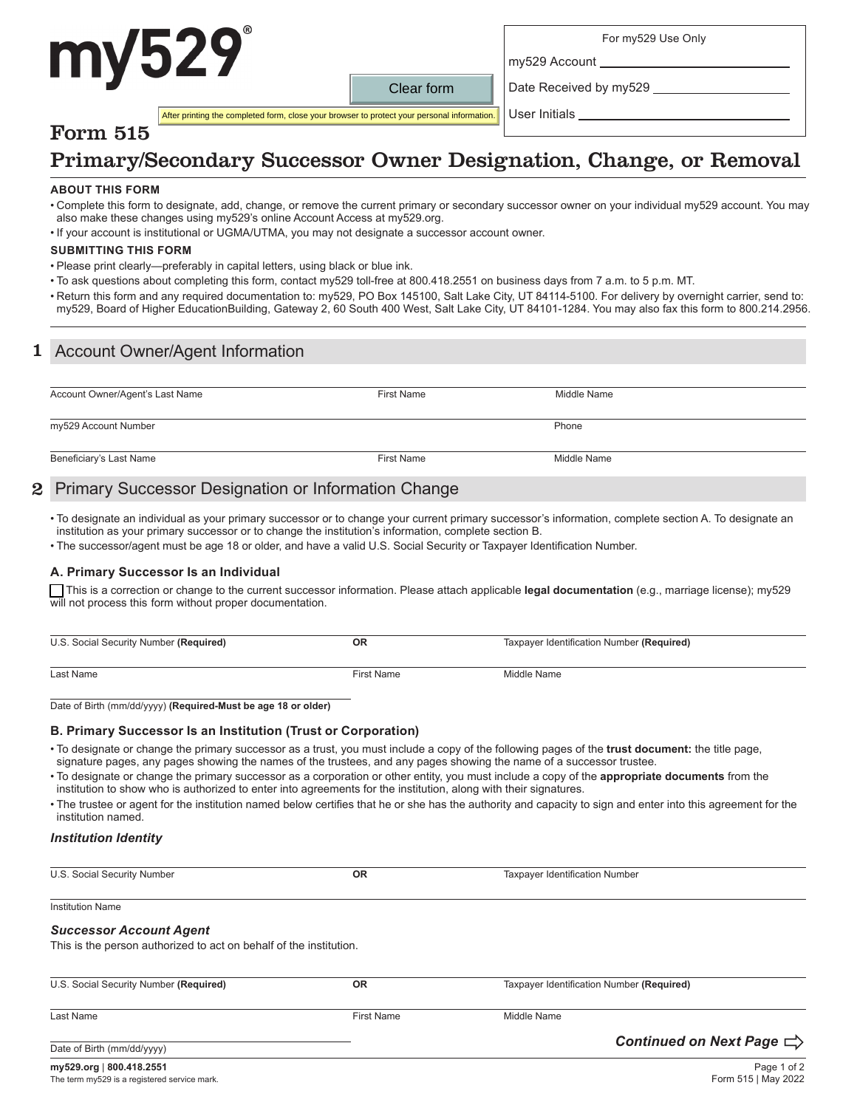# my529

For my529 Use Only

Date Received by my529

my529 Account

User Initials

After printing the completed form, close your browser to protect your personal information.

## Primary/Secondary Successor Owner Designation, Change, or Removal

Clear form

#### **ABOUT THIS FORM**

Form 515

- Complete this form to designate, add, change, or remove the current primary or secondary successor owner on your individual my529 account. You may also make these changes using my529's online Account Access at my529.org.
- If your account is institutional or UGMA/UTMA, you may not designate a successor account owner.

#### **SUBMITTING THIS FORM**

- Please print clearly—preferably in capital letters, using black or blue ink.
- To ask questions about completing this form, contact my529 toll-free at 800.418.2551 on business days from 7 a.m. to 5 p.m. MT.
- Return this form and any required documentation to: my529, PO Box 145100, Salt Lake City, UT 84114-5100. For delivery by overnight carrier, send to: my529, Board of Higher EducationBuilding, Gateway 2, 60 South 400 West, Salt Lake City, UT 84101-1284. You may also fax this form to 800.214.2956.

#### 1 Account Owner/Agent Information

| Account Owner/Agent's Last Name                                                                                | <b>First Name</b> | Middle Name |  |
|----------------------------------------------------------------------------------------------------------------|-------------------|-------------|--|
| my529 Account Number                                                                                           |                   | Phone       |  |
| Beneficiary's Last Name                                                                                        | <b>First Name</b> | Middle Name |  |
| 그 사람들은 그 사람들은 그 사람들은 그 사람들을 지르는 것이다. 그 사람들은 그 사람들은 그 사람들은 그 사람들을 지르는 것이다. 그 사람들은 그 사람들은 그 사람들은 그 사람들을 지르는 것이다. |                   |             |  |

#### 2 Primary Successor Designation or Information Change

• To designate an individual as your primary successor or to change your current primary successor's information, complete section A. To designate an institution as your primary successor or to change the institution's information, complete section B.

• The successor/agent must be age 18 or older, and have a valid U.S. Social Security or Taxpayer Identification Number.

#### **A. Primary Successor Is an Individual**

 This is a correction or change to the current successor information. Please attach applicable **legal documentation** (e.g., marriage license); my529 will not process this form without proper documentation.

| U.S. Social Security Number (Required) | ОR                | Taxpayer Identification Number (Required) |
|----------------------------------------|-------------------|-------------------------------------------|
| Last Name                              | <b>First Name</b> | Middle Name                               |

Date of Birth (mm/dd/yyyy) **(Required-Must be age 18 or older)**

#### **B. Primary Successor Is an Institution (Trust or Corporation)**

• To designate or change the primary successor as a trust, you must include a copy of the following pages of the **trust document:** the title page, signature pages, any pages showing the names of the trustees, and any pages showing the name of a successor trustee.

• To designate or change the primary successor as a corporation or other entity, you must include a copy of the **appropriate documents** from the institution to show who is authorized to enter into agreements for the institution, along with their signatures.

• The trustee or agent for the institution named below certifies that he or she has the authority and capacity to sign and enter into this agreement for the institution named.

#### *Institution Identity*

U.S. Social Security Number **OR** Taxpayer Identification Number

Institution Name

#### *Successor Account Agent*

This is the person authorized to act on behalf of the institution.

| U.S. Social Security Number (Required)<br><b>OR</b> |            | Taxpayer Identification Number (Required) |
|-----------------------------------------------------|------------|-------------------------------------------|
| Last Name                                           | First Name | Middle Name                               |
| Date of Birth (mm/dd/yyyy)                          |            | Continued on Next Page $\Rightarrow$      |
| my529.org   800.418.2551                            |            | Page 1 of 2                               |